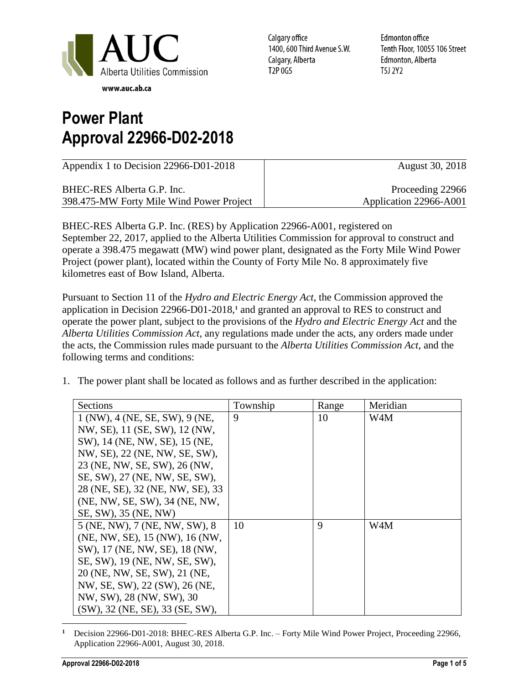

Calgary office 1400, 600 Third Avenue S.W. Calgary, Alberta T2P 0G5

**Edmonton office** Tenth Floor, 10055 106 Street Edmonton, Alberta T5J 2Y2

## **Power Plant Approval 22966-D02-2018**

| Appendix 1 to Decision 22966-D01-2018    | August 30, 2018        |
|------------------------------------------|------------------------|
| BHEC-RES Alberta G.P. Inc.               | Proceeding 22966       |
| 398.475-MW Forty Mile Wind Power Project | Application 22966-A001 |

BHEC-RES Alberta G.P. Inc. (RES) by Application 22966-A001, registered on September 22, 2017, applied to the Alberta Utilities Commission for approval to construct and operate a 398.475 megawatt (MW) wind power plant, designated as the Forty Mile Wind Power Project (power plant), located within the County of Forty Mile No. 8 approximately five kilometres east of Bow Island, Alberta.

Pursuant to Section 11 of the *Hydro and Electric Energy Act*, the Commission approved the application in Decision 22966-D01-2018,<sup>1</sup> and granted an approval to RES to construct and operate the power plant, subject to the provisions of the *Hydro and Electric Energy Act* and the *Alberta Utilities Commission Act*, any regulations made under the acts, any orders made under the acts, the Commission rules made pursuant to the *Alberta Utilities Commission Act*, and the following terms and conditions:

1. The power plant shall be located as follows and as further described in the application:

| Sections                           | Township | Range | Meridian |
|------------------------------------|----------|-------|----------|
| 1 (NW), 4 (NE, SE, SW), 9 (NE,     | 9        | 10    | W4M      |
| NW, SE), 11 (SE, SW), 12 (NW,      |          |       |          |
| SW), 14 (NE, NW, SE), 15 (NE,      |          |       |          |
| NW, SE), 22 (NE, NW, SE, SW),      |          |       |          |
| 23 (NE, NW, SE, SW), 26 (NW,       |          |       |          |
| SE, SW), 27 (NE, NW, SE, SW),      |          |       |          |
| 28 (NE, SE), 32 (NE, NW, SE), 33   |          |       |          |
| (NE, NW, SE, SW), 34 (NE, NW,      |          |       |          |
| SE, SW), 35 (NE, NW)               |          |       |          |
| 5 (NE, NW), 7 (NE, NW, SW), 8      | 10       | 9     | W4M      |
| (NE, NW, SE), 15 (NW), 16 (NW,     |          |       |          |
| SW), 17 (NE, NW, SE), 18 (NW,      |          |       |          |
| SE, SW), 19 (NE, NW, SE, SW),      |          |       |          |
| 20 (NE, NW, SE, SW), 21 (NE,       |          |       |          |
| NW, SE, SW), 22 (SW), 26 (NE,      |          |       |          |
| NW, SW), 28 (NW, SW), 30           |          |       |          |
| $(SW)$ , 32 (NE, SE), 33 (SE, SW), |          |       |          |

 $\overline{a}$ **<sup>1</sup>** Decision 22966-D01-2018: BHEC-RES Alberta G.P. Inc. – Forty Mile Wind Power Project, Proceeding 22966, Application 22966-A001, August 30, 2018.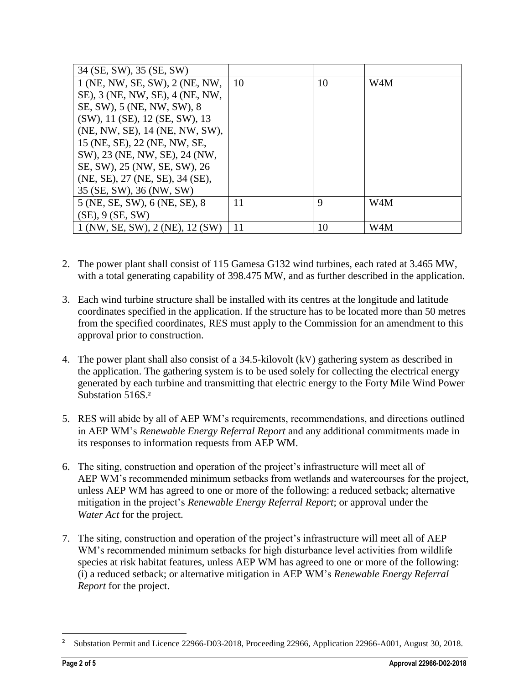| 34 (SE, SW), 35 (SE, SW)        |           |    |     |
|---------------------------------|-----------|----|-----|
| 1 (NE, NW, SE, SW), 2 (NE, NW,  | <b>10</b> | 10 | W4M |
| SE), 3 (NE, NW, SE), 4 (NE, NW, |           |    |     |
| SE, SW), 5 (NE, NW, SW), 8      |           |    |     |
| (SW), 11 (SE), 12 (SE, SW), 13  |           |    |     |
| (NE, NW, SE), 14 (NE, NW, SW),  |           |    |     |
| 15 (NE, SE), 22 (NE, NW, SE,    |           |    |     |
| SW), 23 (NE, NW, SE), 24 (NW,   |           |    |     |
| SE, SW), 25 (NW, SE, SW), 26    |           |    |     |
| (NE, SE), 27 (NE, SE), 34 (SE), |           |    |     |
| 35 (SE, SW), 36 (NW, SW)        |           |    |     |
| 5 (NE, SE, SW), 6 (NE, SE), 8   | 11        | 9  | W4M |
| $(SE)$ , 9 $(SE, SW)$           |           |    |     |
| 1 (NW, SE, SW), 2 (NE), 12 (SW) | 11        | 10 | W4M |

- 2. The power plant shall consist of 115 Gamesa G132 wind turbines, each rated at 3.465 MW, with a total generating capability of 398.475 MW, and as further described in the application.
- 3. Each wind turbine structure shall be installed with its centres at the longitude and latitude coordinates specified in the application. If the structure has to be located more than 50 metres from the specified coordinates, RES must apply to the Commission for an amendment to this approval prior to construction.
- 4. The power plant shall also consist of a 34.5-kilovolt (kV) gathering system as described in the application. The gathering system is to be used solely for collecting the electrical energy generated by each turbine and transmitting that electric energy to the Forty Mile Wind Power Substation 516S. **2**
- 5. RES will abide by all of AEP WM's requirements, recommendations, and directions outlined in AEP WM's *Renewable Energy Referral Report* and any additional commitments made in its responses to information requests from AEP WM.
- 6. The siting, construction and operation of the project's infrastructure will meet all of AEP WM's recommended minimum setbacks from wetlands and watercourses for the project, unless AEP WM has agreed to one or more of the following: a reduced setback; alternative mitigation in the project's *Renewable Energy Referral Report*; or approval under the *Water Act* for the project.
- 7. The siting, construction and operation of the project's infrastructure will meet all of AEP WM's recommended minimum setbacks for high disturbance level activities from wildlife species at risk habitat features, unless AEP WM has agreed to one or more of the following: (i) a reduced setback; or alternative mitigation in AEP WM's *Renewable Energy Referral Report* for the project.

 $\overline{a}$ 

**<sup>2</sup>** Substation Permit and Licence 22966-D03-2018, Proceeding 22966, Application 22966-A001, August 30, 2018.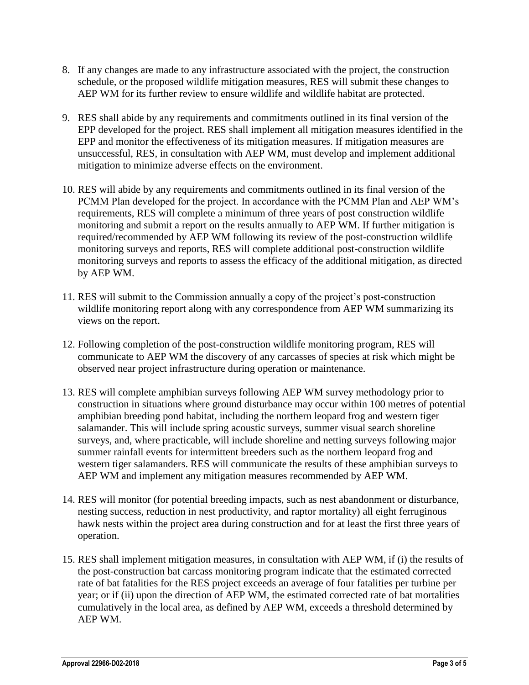- 8. If any changes are made to any infrastructure associated with the project, the construction schedule, or the proposed wildlife mitigation measures, RES will submit these changes to AEP WM for its further review to ensure wildlife and wildlife habitat are protected.
- 9. RES shall abide by any requirements and commitments outlined in its final version of the EPP developed for the project. RES shall implement all mitigation measures identified in the EPP and monitor the effectiveness of its mitigation measures. If mitigation measures are unsuccessful, RES, in consultation with AEP WM, must develop and implement additional mitigation to minimize adverse effects on the environment.
- 10. RES will abide by any requirements and commitments outlined in its final version of the PCMM Plan developed for the project. In accordance with the PCMM Plan and AEP WM's requirements, RES will complete a minimum of three years of post construction wildlife monitoring and submit a report on the results annually to AEP WM. If further mitigation is required/recommended by AEP WM following its review of the post-construction wildlife monitoring surveys and reports, RES will complete additional post-construction wildlife monitoring surveys and reports to assess the efficacy of the additional mitigation, as directed by AEP WM.
- 11. RES will submit to the Commission annually a copy of the project's post-construction wildlife monitoring report along with any correspondence from AEP WM summarizing its views on the report.
- 12. Following completion of the post-construction wildlife monitoring program, RES will communicate to AEP WM the discovery of any carcasses of species at risk which might be observed near project infrastructure during operation or maintenance.
- 13. RES will complete amphibian surveys following AEP WM survey methodology prior to construction in situations where ground disturbance may occur within 100 metres of potential amphibian breeding pond habitat, including the northern leopard frog and western tiger salamander. This will include spring acoustic surveys, summer visual search shoreline surveys, and, where practicable, will include shoreline and netting surveys following major summer rainfall events for intermittent breeders such as the northern leopard frog and western tiger salamanders. RES will communicate the results of these amphibian surveys to AEP WM and implement any mitigation measures recommended by AEP WM.
- 14. RES will monitor (for potential breeding impacts, such as nest abandonment or disturbance, nesting success, reduction in nest productivity, and raptor mortality) all eight ferruginous hawk nests within the project area during construction and for at least the first three years of operation.
- 15. RES shall implement mitigation measures, in consultation with AEP WM, if (i) the results of the post-construction bat carcass monitoring program indicate that the estimated corrected rate of bat fatalities for the RES project exceeds an average of four fatalities per turbine per year; or if (ii) upon the direction of AEP WM, the estimated corrected rate of bat mortalities cumulatively in the local area, as defined by AEP WM, exceeds a threshold determined by AEP WM.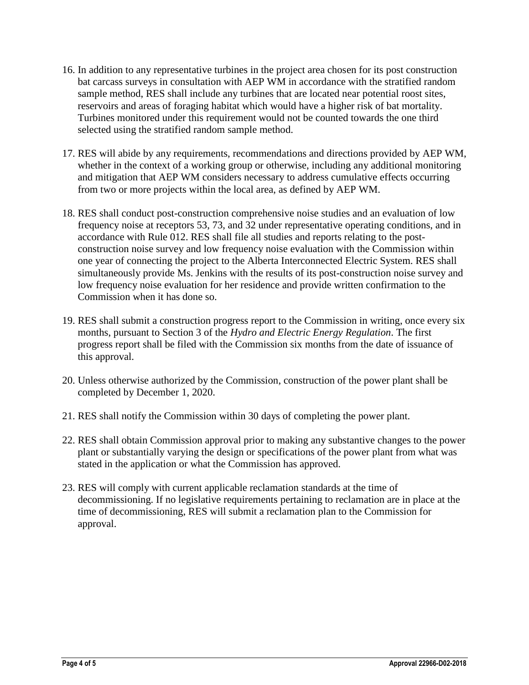- 16. In addition to any representative turbines in the project area chosen for its post construction bat carcass surveys in consultation with AEP WM in accordance with the stratified random sample method, RES shall include any turbines that are located near potential roost sites, reservoirs and areas of foraging habitat which would have a higher risk of bat mortality. Turbines monitored under this requirement would not be counted towards the one third selected using the stratified random sample method.
- 17. RES will abide by any requirements, recommendations and directions provided by AEP WM, whether in the context of a working group or otherwise, including any additional monitoring and mitigation that AEP WM considers necessary to address cumulative effects occurring from two or more projects within the local area, as defined by AEP WM.
- 18. RES shall conduct post-construction comprehensive noise studies and an evaluation of low frequency noise at receptors 53, 73, and 32 under representative operating conditions, and in accordance with Rule 012. RES shall file all studies and reports relating to the postconstruction noise survey and low frequency noise evaluation with the Commission within one year of connecting the project to the Alberta Interconnected Electric System. RES shall simultaneously provide Ms. Jenkins with the results of its post-construction noise survey and low frequency noise evaluation for her residence and provide written confirmation to the Commission when it has done so.
- 19. RES shall submit a construction progress report to the Commission in writing, once every six months, pursuant to Section 3 of the *Hydro and Electric Energy Regulation*. The first progress report shall be filed with the Commission six months from the date of issuance of this approval.
- 20. Unless otherwise authorized by the Commission, construction of the power plant shall be completed by December 1, 2020.
- 21. RES shall notify the Commission within 30 days of completing the power plant.
- 22. RES shall obtain Commission approval prior to making any substantive changes to the power plant or substantially varying the design or specifications of the power plant from what was stated in the application or what the Commission has approved.
- 23. RES will comply with current applicable reclamation standards at the time of decommissioning. If no legislative requirements pertaining to reclamation are in place at the time of decommissioning, RES will submit a reclamation plan to the Commission for approval.